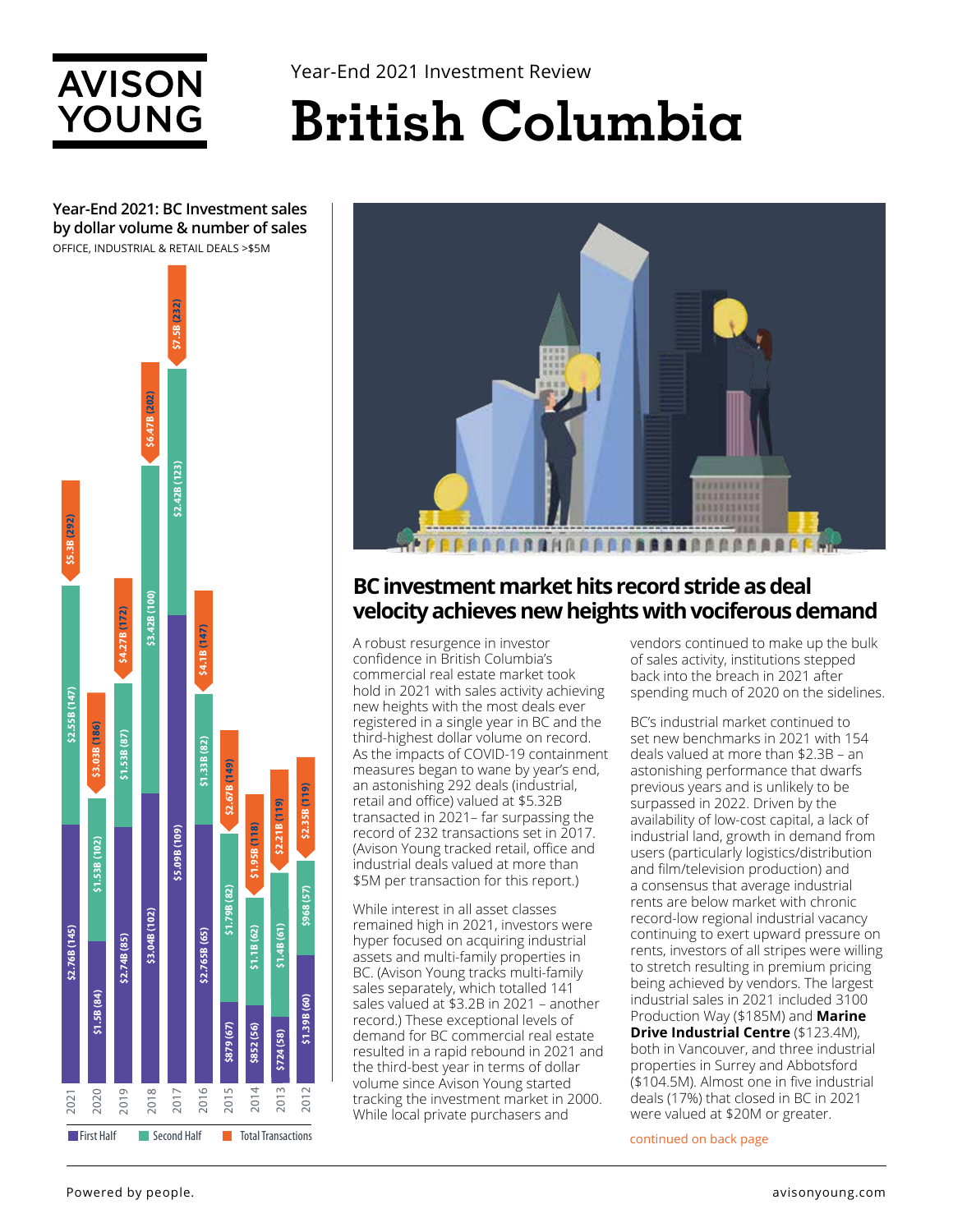

**Year-End 2021: BC Investment sales by dollar volume & number of sales**

Year-End 2021 Investment Review

# **British Columbia**

OFFICE, INDUSTRIAL & RETAIL DEALS >\$5M **\$2.42B (123)**<br>**\$7.5B (232) \$3.04B (102) \$3.42B (100) \$6.47B (202)**  $(12.42B(123))$ **\$5.09B (109) \$2.42B (123)** 2021 **\$2.55B (147) \$5.3B (292)** \$3.42B (100) 4.27B (172) **\$2.74B (85) \$1.53B (87) \$4.27B (172) \$2.765B (65) \$4.1B (147) \$2.67B (149) \$1.95B (118) \$2.21B (119) \$2.35B (119)** \$2.55B (147) \$3.03B (186) **\$3.03B (186)** \$1.53B (87) **\$1.33B (82)** \$5.09B (109) \$1.53B (102) **\$1.53B (102) \$1.79B (82) \$968 (57)** \$3.04B (102) **\$1.4B (61)** \$2.76B (145) **\$2.76B (145) \$1.1B (62)** \$2.74B (85) **\$1.5B (84)** \$1.39B (60) **\$1.39B (60) \$879 (67) \$852 (56) \$724 (58)** 2016 2020 2019 2018 2017 2015 2014 2013 2021 2012 **First Half** Second Half Total Transactions



### **BC investment market hits record stride as deal velocity achieves new heights with vociferous demand**

A robust resurgence in investor confidence in British Columbia's commercial real estate market took hold in 2021 with sales activity achieving new heights with the most deals ever registered in a single year in BC and the third-highest dollar volume on record. As the impacts of COVID-19 containment measures began to wane by year's end, an astonishing 292 deals (industrial, retail and office) valued at \$5.32B transacted in 2021– far surpassing the record of 232 transactions set in 2017. (Avison Young tracked retail, office and industrial deals valued at more than \$5M per transaction for this report.)

While interest in all asset classes remained high in 2021, investors were hyper focused on acquiring industrial assets and multi-family properties in BC. (Avison Young tracks multi-family sales separately, which totalled 141 sales valued at \$3.2B in 2021 – another record.) These exceptional levels of demand for BC commercial real estate resulted in a rapid rebound in 2021 and the third-best year in terms of dollar volume since Avison Young started tracking the investment market in 2000. While local private purchasers and

vendors continued to make up the bulk of sales activity, institutions stepped back into the breach in 2021 after spending much of 2020 on the sidelines.

BC's industrial market continued to set new benchmarks in 2021 with 154 deals valued at more than \$2.3B – an astonishing performance that dwarfs previous years and is unlikely to be surpassed in 2022. Driven by the availability of low-cost capital, a lack of industrial land, growth in demand from users (particularly logistics/distribution and film/television production) and a consensus that average industrial rents are below market with chronic record-low regional industrial vacancy continuing to exert upward pressure on rents, investors of all stripes were willing to stretch resulting in premium pricing being achieved by vendors. The largest industrial sales in 2021 included 3100 Production Way (\$185M) and **Marine Drive Industrial Centre** (\$123.4M), both in Vancouver, and three industrial properties in Surrey and Abbotsford (\$104.5M). Almost one in five industrial deals (17%) that closed in BC in 2021 were valued at \$20M or greater.

continued on back page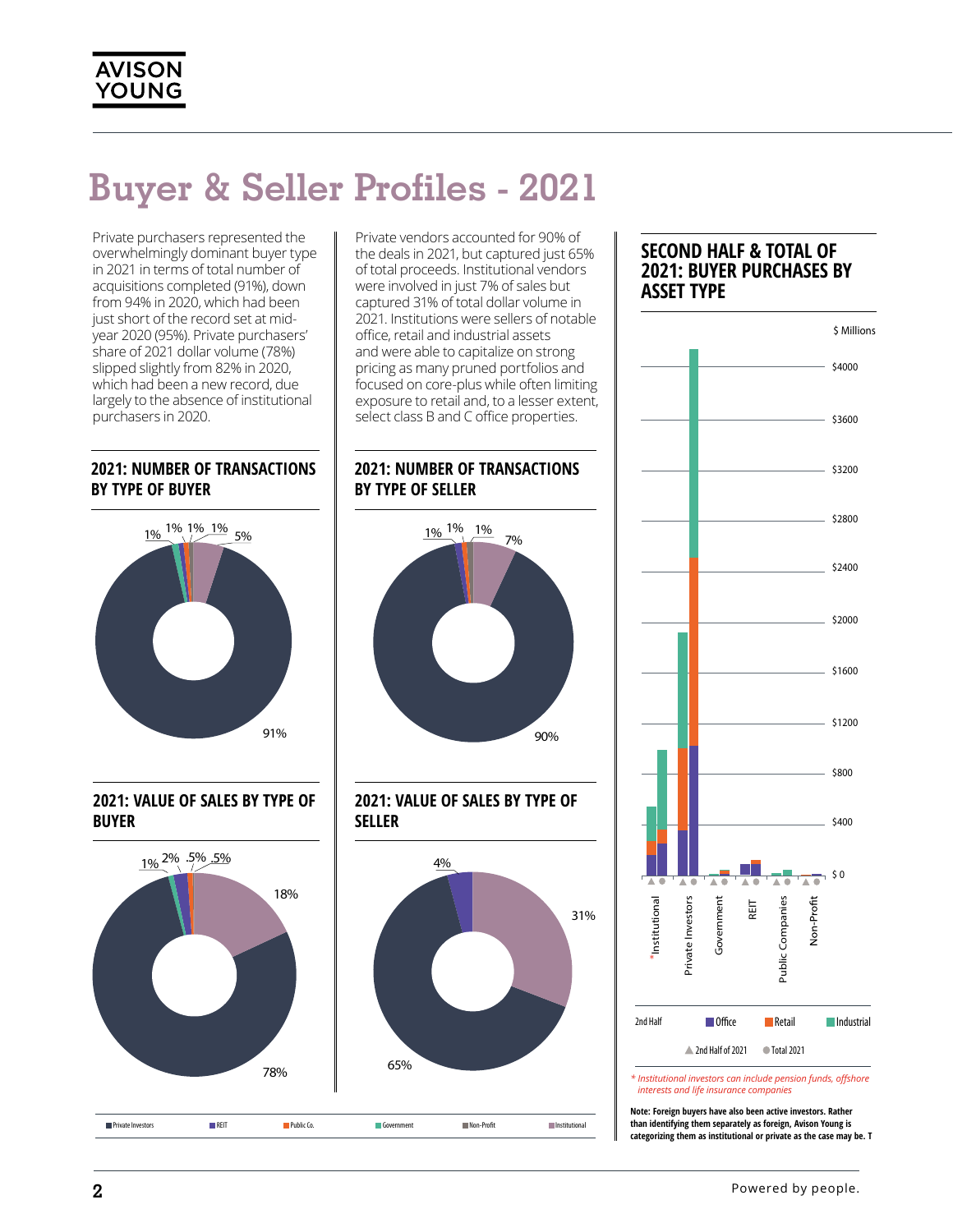### **Buyer & Seller Profiles - 2021**

Private purchasers represented the overwhelmingly dominant buyer type in 2021 in terms of total number of acquisitions completed (91%), down from 94% in 2020, which had been just short of the record set at midyear 2020 (95%). Private purchasers' share of 2021 dollar volume (78%) slipped slightly from 82% in 2020, which had been a new record, due largely to the absence of institutional purchasers in 2020.

### **2021: NUMBER OF TRANSACTIONS** by type of buyer



#### 2021: VALUE OF SALES BY TYPE OF<br><sub>RUVED</sub> **BUYER** by type of buyer



Private vendors accounted for 90% of the deals in 2021, but captured just 65% of total proceeds. Institutional vendors were involved in just 7% of sales but captured 31% of total dollar volume in 2021. Institutions were sellers of notable office, retail and industrial assets and were able to capitalize on strong pricing as many pruned portfolios and focused on core-plus while often limiting exposure to retail and, to a lesser extent, select class B and C office properties.

### **2021: NUMBER OF TRANSACTIONS<br>BY TYPE OF SELLER BY TYPE OF SELLER**



**2021: VALUE OF SALES BY TYPE OF \$**<br>|} **SELLER** | SELLER<br>| <u>\_\_\_\_\_\_\_\_\_\_\_\_\_\_\_\_\_\_\_\_\_</u>



### **SECOND HALF & TOTAL OF 2021: BUYER PURCHASES BY ASSET TYPE**



**Note: Foreign buyers have also been active investors. Rather than identifying them separately as foreign, Avison Young is categorizing them as institutional or private as the case may be. T**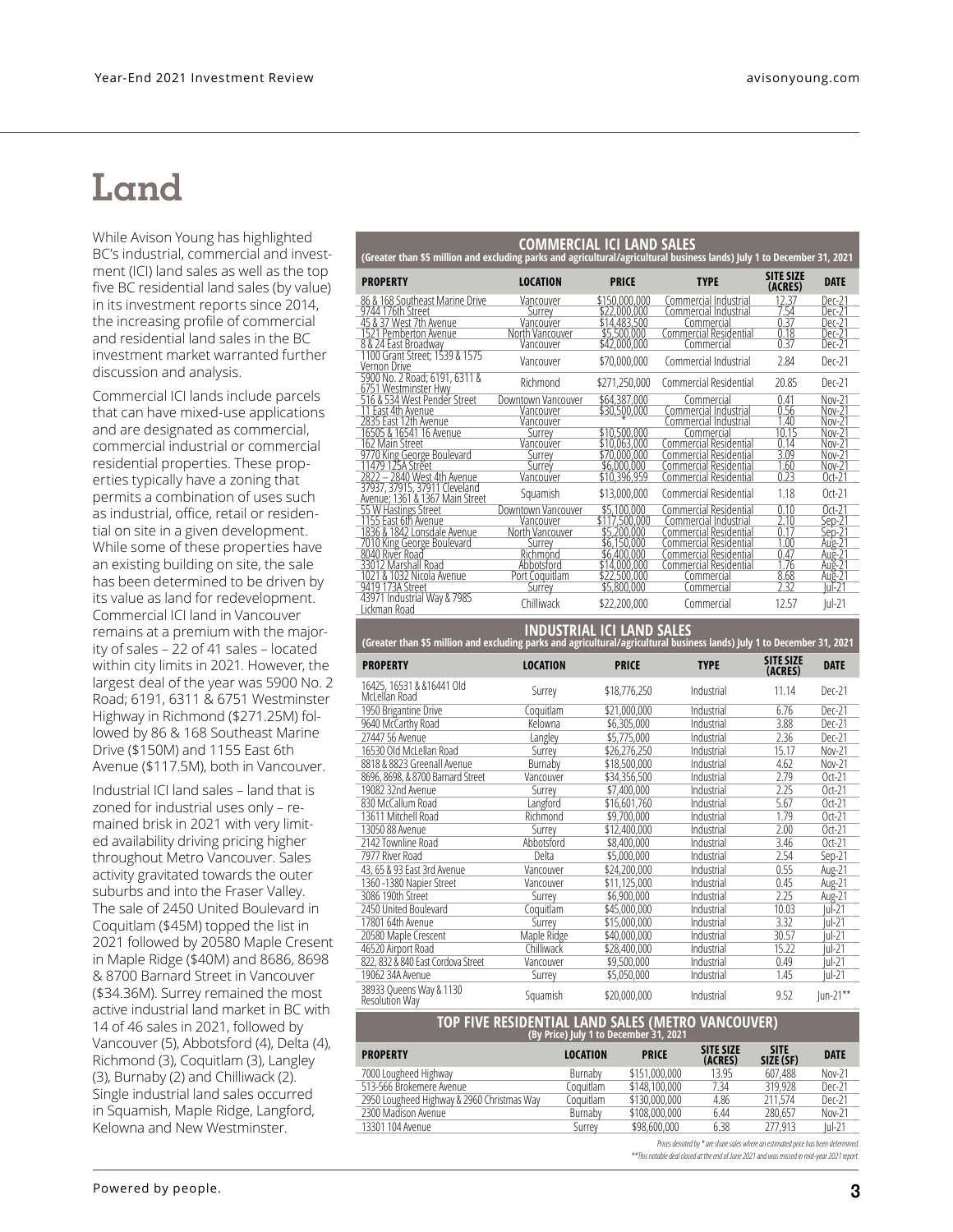### **Land**

While Avison Young has highlighted BC's industrial, commercial and investment (ICI) land sales as well as the top five BC residential land sales (by value) in its investment reports since 2014, the increasing profile of commercial and residential land sales in the BC investment market warranted further discussion and analysis.

Commercial ICI lands include parcels that can have mixed-use applications and are designated as commercial, commercial industrial or commercial residential properties. These properties typically have a zoning that permits a combination of uses such as industrial, office, retail or residential on site in a given development. While some of these properties have an existing building on site, the sale has been determined to be driven by its value as land for redevelopment. Commercial ICI land in Vancouver remains at a premium with the majority of sales – 22 of 41 sales – located within city limits in 2021. However, the largest deal of the year was 5900 No. 2 Road; 6191, 6311 & 6751 Westminster Highway in Richmond (\$271.25M) followed by 86 & 168 Southeast Marine Drive (\$150M) and 1155 East 6th Avenue (\$117.5M), both in Vancouver.

Industrial ICI land sales – land that is zoned for industrial uses only – remained brisk in 2021 with very limited availability driving pricing higher throughout Metro Vancouver. Sales activity gravitated towards the outer suburbs and into the Fraser Valley. The sale of 2450 United Boulevard in Coquitlam (\$45M) topped the list in 2021 followed by 20580 Maple Cresent in Maple Ridge (\$40M) and 8686, 8698 & 8700 Barnard Street in Vancouver (\$34.36M). Surrey remained the most active industrial land market in BC with 14 of 46 sales in 2021, followed by Vancouver (5), Abbotsford (4), Delta (4), Richmond (3), Coquitlam (3), Langley (3), Burnaby (2) and Chilliwack (2). Single industrial land sales occurred in Squamish, Maple Ridge, Langford, Kelowna and New Westminster.

| <b>COMMERCIAL ICI LAND SALES</b><br>(Greater than \$5 million and excluding parks and agricultural/agricultural business lands) July 1 to December 31, 2021 |                    |               |                        |                             |                            |  |  |  |
|-------------------------------------------------------------------------------------------------------------------------------------------------------------|--------------------|---------------|------------------------|-----------------------------|----------------------------|--|--|--|
| <b>PROPERTY</b>                                                                                                                                             | <b>LOCATION</b>    | <b>PRICE</b>  | <b>TYPE</b>            | <b>SITE SIZE</b><br>(ACRES) | <b>DATE</b>                |  |  |  |
| 86 & 168 Southeast Marine Drive                                                                                                                             | Vancouver          | \$150,000.000 | Commercial Industrial  | 12.37                       | Dec-21                     |  |  |  |
| 9744 176th Street                                                                                                                                           | Surrey             | \$22,000,000  | Commercial Industrial  | 7.54                        | Dec-21                     |  |  |  |
| 45 & 37 West 7th Avenue                                                                                                                                     | Vancouver          | \$14,483,500  | Commercial             | 0.37                        | Dec-21                     |  |  |  |
| 1521 Pemberton Avenue                                                                                                                                       | North Vancouver    | \$5,500,000   | Commercial Residential | 0.18                        | Dec-21                     |  |  |  |
| 8 & 24 East Broadway                                                                                                                                        | Vancouver          | \$42,000,000  | Commercial             | 0.37                        | Dec-21                     |  |  |  |
| 1100 Grant Street; 1539 & 1575<br>Vernon Drive                                                                                                              | Vancouver          | \$70,000,000  | Commercial Industrial  | 2.84                        | Dec-21                     |  |  |  |
| 5900 No. 2 Road; 6191, 6311 &<br>6751 Westminster Hwy                                                                                                       | Richmond           | \$271,250,000 | Commercial Residential | 20.85                       | Dec-21                     |  |  |  |
| 516 & 534 West Pender Street                                                                                                                                | Downtown Vancouver | \$64,387,000  | Commercial             | 0.41                        | Nov-21                     |  |  |  |
| 11 East 4th Avenue                                                                                                                                          | Vancouver          | \$30,500,000  | Commercial Industrial  | 0.56                        | Nov-21                     |  |  |  |
| 2835 East 12th Avenue                                                                                                                                       | Vancouver          |               | Commercial Industrial  | 1.40                        | Nov-21                     |  |  |  |
| 16505 & 16541 16 Avenue                                                                                                                                     | Surrey             | \$10,500,000  | Commercial             | 10.15                       | Nov-21                     |  |  |  |
| 162 Main Street                                                                                                                                             | Vancouver          | \$10,063,000  | Commercial Residential | 0.14                        | $Nov-21$                   |  |  |  |
| 9770 King George Boulevard                                                                                                                                  | Surrev             | \$70,000,000  | Commercial Residential | 3.09                        | $Nov-21$                   |  |  |  |
| 11479 125A Street                                                                                                                                           | Surrey             | \$6.000.000   | Commercial Residential | 1.60                        | Nov-21                     |  |  |  |
| 2822 - 2840 West 4th Avenue                                                                                                                                 | Vancouver          | \$10,396,959  | Commercial Residential | 0.23                        | $Oct-21$                   |  |  |  |
| 37937, 37915, 37911 Cleveland<br>Avenue: 1361 & 1367 Main Street                                                                                            | Squamish           | \$13,000,000  | Commercial Residential | 1.18                        | $0$ rt-21                  |  |  |  |
| 55 W Hastings Street                                                                                                                                        | Downtown Vancouver | \$5,100,000   | Commercial Residential | 0.10                        | $0ct-21$                   |  |  |  |
| 1155 East 6th Avenue                                                                                                                                        | Vancouver          | \$117,500,000 | Commercial Industrial  | 2.10                        | Sep-21                     |  |  |  |
| 1836 & 1842 Lonsdale Avenue                                                                                                                                 | North Vancouver    | \$5,200,000   | Commercial Residential | 0.17                        | Sep-21                     |  |  |  |
| 7010 King George Boulevard<br>8040 River Road                                                                                                               | Surrey             | \$6.150.000   | Commercial Residential | 1.00                        |                            |  |  |  |
|                                                                                                                                                             | Richmond           | \$6.400.000   | Commercial Residential | 0.47                        | Aug-21<br>Aug-21<br>Aug-21 |  |  |  |
| 33012 Marshall Road                                                                                                                                         | Abbotsford         | \$14,000,000  | Commercial Residential | 1.76                        |                            |  |  |  |
| 1021 & 1032 Nicola Avenue                                                                                                                                   | Port Coquitlam     | \$22,500,000  | Commercial             | 8.68                        | Aug-21<br> ul-21           |  |  |  |
| 9419 173A Street                                                                                                                                            | Surrey             | \$5,800,000   | Commercial             | 7 37                        |                            |  |  |  |
| 43971 Industrial Way & 7985<br>Lickman Road                                                                                                                 | Chilliwack         | \$22,200,000  | Commercial             | 12.57                       | $ ul-21$                   |  |  |  |

| (Greater than \$5 million and excluding parks and agricultural/agricultural business lands) July 1 to December 31, 2021 |                 | INPOSININE IVE FAILLY SINCES |             |                             |             |
|-------------------------------------------------------------------------------------------------------------------------|-----------------|------------------------------|-------------|-----------------------------|-------------|
| <b>PROPERTY</b>                                                                                                         | <b>LOCATION</b> | <b>PRICE</b>                 | <b>TYPE</b> | <b>SITE SIZE</b><br>(ACRES) | <b>DATE</b> |
| 16425, 16531 & & 16441 Old<br>McLellan Road                                                                             | Surrey          | \$18,776,250                 | Industrial  | 11.14                       | Dec-21      |
| 1950 Brigantine Drive                                                                                                   | Coquitlam       | \$21,000,000                 | Industrial  | 6.76                        | Dec-21      |
| 9640 McCarthy Road                                                                                                      | Kelowna         | \$6.305.000                  | Industrial  | 3.88                        | Dec-21      |
| 27447 56 Avenue                                                                                                         | Langley         | \$5,775,000                  | Industrial  | 2.36                        | Dec-21      |
| 16530 Old McLellan Road                                                                                                 | Surrey          | \$26,276,250                 | Industrial  | 15.17                       | Nov-21      |
| 8818 & 8823 Greenall Avenue                                                                                             | Burnaby         | \$18,500,000                 | Industrial  | 4.62                        | Nov-21      |
| 8696, 8698, & 8700 Barnard Street                                                                                       | Vancouver       | \$34,356,500                 | Industrial  | 2.79                        | $Oct-21$    |
| 19082 32nd Avenue                                                                                                       | Surrey          | \$7,400,000                  | Industrial  | 2.25                        | $Oct-21$    |
| 830 McCallum Road                                                                                                       | Langford        | \$16,601,760                 | Industrial  | 5.67                        | $Oct-21$    |
| 13611 Mitchell Road                                                                                                     | Richmond        | \$9,700,000                  | Industrial  | 1.79                        | $Oct-21$    |
| 13050 88 Avenue                                                                                                         | Surrey          | \$12,400,000                 | Industrial  | 2.00                        | $Oct-21$    |
| 2142 Townline Road                                                                                                      | Abbotsford      | \$8,400,000                  | Industrial  | 3.46                        | $Oct-21$    |
| 7977 River Road                                                                                                         | Delta           | \$5,000,000                  | Industrial  | 2.54                        | Sep-21      |
| 43, 65 & 93 East 3rd Avenue                                                                                             | Vancouver       | \$24,200,000                 | Industrial  | 0.55                        | Aug-21      |
| 1360 -1380 Napier Street                                                                                                | Vancouver       | \$11,125,000                 | Industrial  | 0.45                        | Aug-21      |
| 3086 190th Street                                                                                                       | Surrey          | \$6,900,000                  | Industrial  | 2.25                        | Aug-21      |
| 2450 United Boulevard                                                                                                   | Coquitlam       | \$45,000,000                 | Industrial  | 10.03                       | lul-21      |
| 17801 64th Avenue                                                                                                       | Surrey          | \$15,000,000                 | Industrial  | 3.32                        | lul-21      |
| 20580 Maple Crescent                                                                                                    | Maple Ridge     | \$40,000,000                 | Industrial  | 30.57                       | lul-21      |
| 46520 Airport Road                                                                                                      | Chilliwack      | \$28,400,000                 | Industrial  | 15.22                       | lul-21      |
| 822, 832 & 840 East Cordova Street                                                                                      | Vancouver       | \$9,500,000                  | Industrial  | 0.49                        | lul-21      |
| 19062 34A Avenue                                                                                                        | Surrey          | \$5,050,000                  | Industrial  | 1.45                        | lul-21      |
| 38933 Queens Way & 1130<br><b>Resolution Way</b>                                                                        | Squamish        | \$20,000,000                 | Industrial  | 9.52                        | $Jun-21***$ |

**INDUSTRIAL ICI LAND SALES**

#### **TOP FIVE RESIDENTIAL LAND SALES (METRO VANCOUVER) (By Price) July 1 to December 31, 2021**

| <b>PROPERTY</b>                            | <b>LOCATION</b> | <b>PRICE</b>  | <b>SITE SIZE</b><br>(ACRES) | <b>SITE</b><br>SIZE (SF) | <b>DATE</b> |
|--------------------------------------------|-----------------|---------------|-----------------------------|--------------------------|-------------|
| 7000 Lougheed Highway                      | Burnaby         | \$151,000,000 | 13.95                       | 607.488                  | Nov-21      |
| 513-566 Brokemere Avenue                   | Coquitlam       | \$148,100,000 | 7.34                        | 319.928                  | Dec-21      |
| 2950 Lougheed Highway & 2960 Christmas Way | Coquitlam       | \$130,000,000 | 4.86                        | 211.574                  | Dec-21      |
| 2300 Madison Avenue                        | Burnaby         | \$108,000,000 | 6.44                        | 280.657                  | Nov-21      |
| 13301 104 Avenue                           | Surrey          | \$98,600,000  | 6.38                        | 277.913                  | $ ul-21$    |

*Prices denoted by \* are share sales where an estimated price has been determined. \*\*This notable deal closed at the end of June 2021 and was missed in mid-year 2021 report.*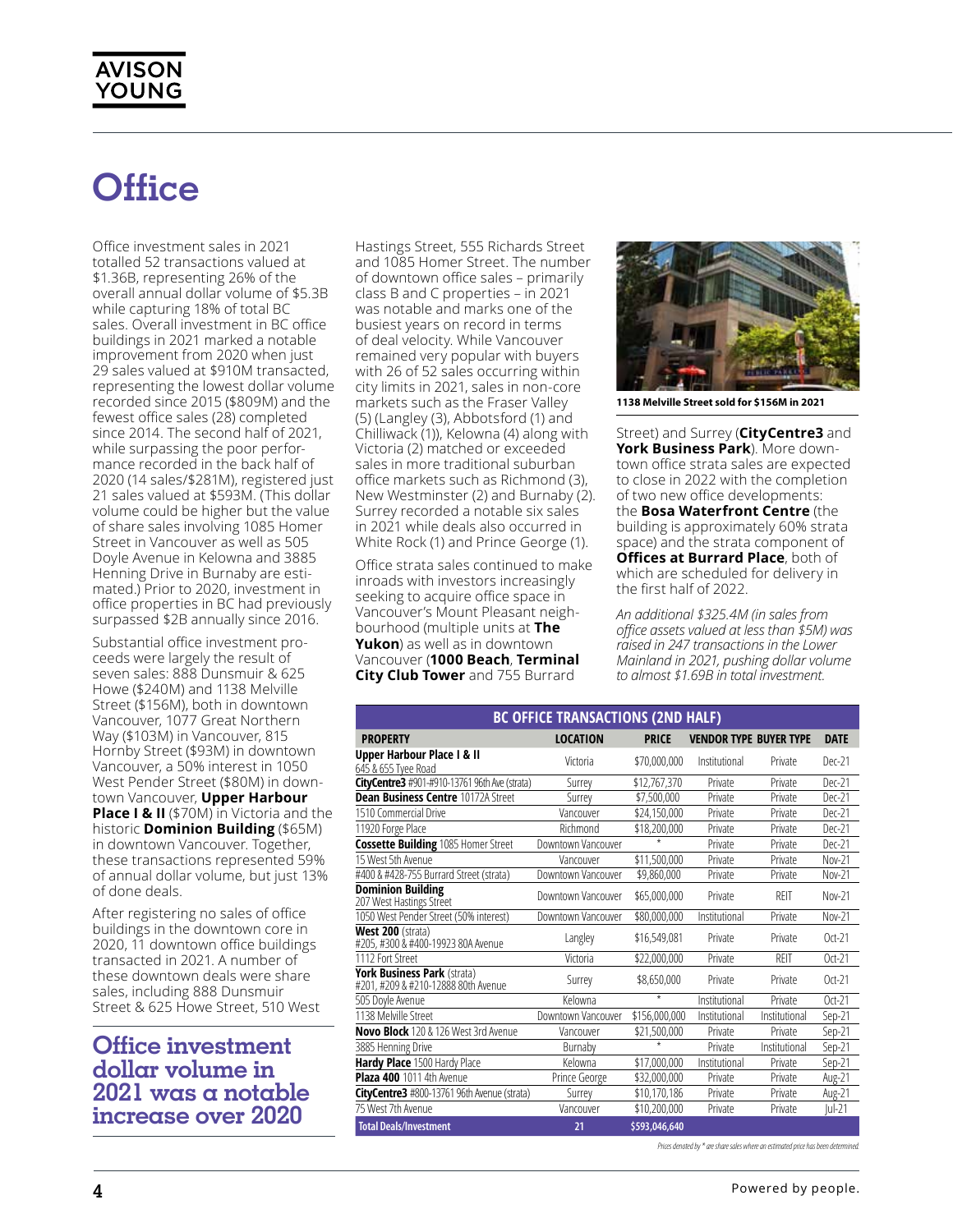### **Office**

Office investment sales in 2021 totalled 52 transactions valued at \$1.36B, representing 26% of the overall annual dollar volume of \$5.3B while capturing 18% of total BC sales. Overall investment in BC office buildings in 2021 marked a notable improvement from 2020 when just 29 sales valued at \$910M transacted, representing the lowest dollar volume recorded since 2015 (\$809M) and the fewest office sales (28) completed since 2014. The second half of 2021, while surpassing the poor performance recorded in the back half of 2020 (14 sales/\$281M), registered just 21 sales valued at \$593M. (This dollar volume could be higher but the value of share sales involving 1085 Homer Street in Vancouver as well as 505 Doyle Avenue in Kelowna and 3885 Henning Drive in Burnaby are estimated.) Prior to 2020, investment in office properties in BC had previously surpassed \$2B annually since 2016.

Substantial office investment proceeds were largely the result of seven sales: 888 Dunsmuir & 625 Howe (\$240M) and 1138 Melville Street (\$156M), both in downtown Vancouver, 1077 Great Northern Way (\$103M) in Vancouver, 815 Hornby Street (\$93M) in downtown Vancouver, a 50% interest in 1050 West Pender Street (\$80M) in downtown Vancouver, **Upper Harbour Place I & II** (\$70M) in Victoria and the historic **Dominion Building** (\$65M) in downtown Vancouver. Together, these transactions represented 59% of annual dollar volume, but just 13% of done deals.

After registering no sales of office buildings in the downtown core in 2020, 11 downtown office buildings transacted in 2021. A number of these downtown deals were share sales, including 888 Dunsmuir Street & 625 Howe Street, 510 West

### **Office investment dollar volume in 2021 was a notable increase over 2020**

Hastings Street, 555 Richards Street and 1085 Homer Street. The number of downtown office sales – primarily class B and C properties – in 2021 was notable and marks one of the busiest years on record in terms of deal velocity. While Vancouver remained very popular with buyers with 26 of 52 sales occurring within city limits in 2021, sales in non-core markets such as the Fraser Valley (5) (Langley (3), Abbotsford (1) and Chilliwack (1)), Kelowna (4) along with Victoria (2) matched or exceeded sales in more traditional suburban office markets such as Richmond (3), New Westminster (2) and Burnaby (2). Surrey recorded a notable six sales in 2021 while deals also occurred in White Rock (1) and Prince George (1).

Office strata sales continued to make inroads with investors increasingly seeking to acquire office space in Vancouver's Mount Pleasant neighbourhood (multiple units at **The Yukon**) as well as in downtown Vancouver (**1000 Beach**, **Terminal City Club Tower** and 755 Burrard



**1138 Melville Street sold for \$156M in 2021**

Street) and Surrey (**CityCentre3** and **York Business Park**). More downtown office strata sales are expected to close in 2022 with the completion of two new office developments: the **Bosa Waterfront Centre** (the building is approximately 60% strata space) and the strata component of **Offices at Burrard Place**, both of which are scheduled for delivery in the first half of 2022.

*An additional \$325.4M (in sales from office assets valued at less than \$5M) was raised in 247 transactions in the Lower Mainland in 2021, pushing dollar volume to almost \$1.69B in total investment.* 

| <b>BC OFFICE TRANSACTIONS (2ND HALF)</b>                           |                    |               |                               |               |             |  |  |
|--------------------------------------------------------------------|--------------------|---------------|-------------------------------|---------------|-------------|--|--|
| <b>PROPERTY</b>                                                    | <b>LOCATION</b>    | <b>PRICE</b>  | <b>VENDOR TYPE BUYER TYPE</b> |               | <b>DATE</b> |  |  |
| Upper Harbour Place I & II<br>645 & 655 Tyee Road                  | Victoria           | \$70,000,000  | Institutional                 | Private       | Dec-21      |  |  |
| <b>CityCentre3</b> #901-#910-13761 96th Ave (strata)               | Surrey             | \$12,767,370  | Private                       | Private       | Dec-21      |  |  |
| <b>Dean Business Centre 10172A Street</b>                          | Surrev             | \$7.500.000   | Private                       | Private       | Dec-21      |  |  |
| 1510 Commercial Drive                                              | Vancouver          | \$24,150,000  | Private                       | Private       | Dec-21      |  |  |
| 11920 Forge Place                                                  | Richmond           | \$18,200,000  | Private                       | Private       | Dec-21      |  |  |
| <b>Cossette Building 1085 Homer Street</b>                         | Downtown Vancouver |               | Private                       | Private       | Dec-21      |  |  |
| 15 West 5th Avenue                                                 | Vancouver          | \$11,500,000  | Private                       | Private       | Nov-21      |  |  |
| #400 & #428-755 Burrard Street (strata)                            | Downtown Vancouver | \$9.860.000   | Private                       | Private       | Nov-21      |  |  |
| <b>Dominion Building</b><br>207 West Hastings Street               | Downtown Vancouver | \$65,000,000  | Private                       | RFIT          | Nov-21      |  |  |
| 1050 West Pender Street (50% interest)                             | Downtown Vancouver | \$80,000,000  | Institutional                 | Private       | Nov-21      |  |  |
| West 200 (strata)<br>#205, #300 & #400-19923 80A Avenue            | Langley            | \$16.549.081  | Private                       | Private       | $Oct-21$    |  |  |
| 1112 Fort Street                                                   | Victoria           | \$22,000,000  | Private                       | RFIT          | $Oct-21$    |  |  |
| York Business Park (strata)<br>#201, #209 & #210-12888 80th Avenue | Surrey             | \$8,650,000   | Private                       | Private       | $Oct-21$    |  |  |
| 505 Doyle Avenue                                                   | Kelowna            | $\star$       | Institutional                 | Private       | $Oct-21$    |  |  |
| 1138 Melville Street                                               | Downtown Vancouver | \$156,000,000 | Institutional                 | Institutional | Sep-21      |  |  |
| Novo Block 120 & 126 West 3rd Avenue                               | Vancouver          | \$21,500,000  | Private                       | Private       | Sep-21      |  |  |
| 3885 Henning Drive                                                 | Burnaby            | $\star$       | Private                       | Institutional | Sep-21      |  |  |
| Hardy Place 1500 Hardy Place                                       | Kelowna            | \$17,000,000  | Institutional                 | Private       | Sep-21      |  |  |
| Plaza 400 1011 4th Avenue                                          | Prince George      | \$32,000.000  | Private                       | Private       | Aug-21      |  |  |
| CityCentre3 #800-13761 96th Avenue (strata)                        | Surrev             | \$10,170,186  | Private                       | Private       | Aug-21      |  |  |
| 75 West 7th Avenue                                                 | Vancouver          | \$10,200,000  | Private                       | Private       | $ ul-21$    |  |  |
| <b>Total Deals/Investment</b>                                      | 21                 | \$593,046,640 |                               |               |             |  |  |

Prices denoted by \* are share sales where an estimated price has been determine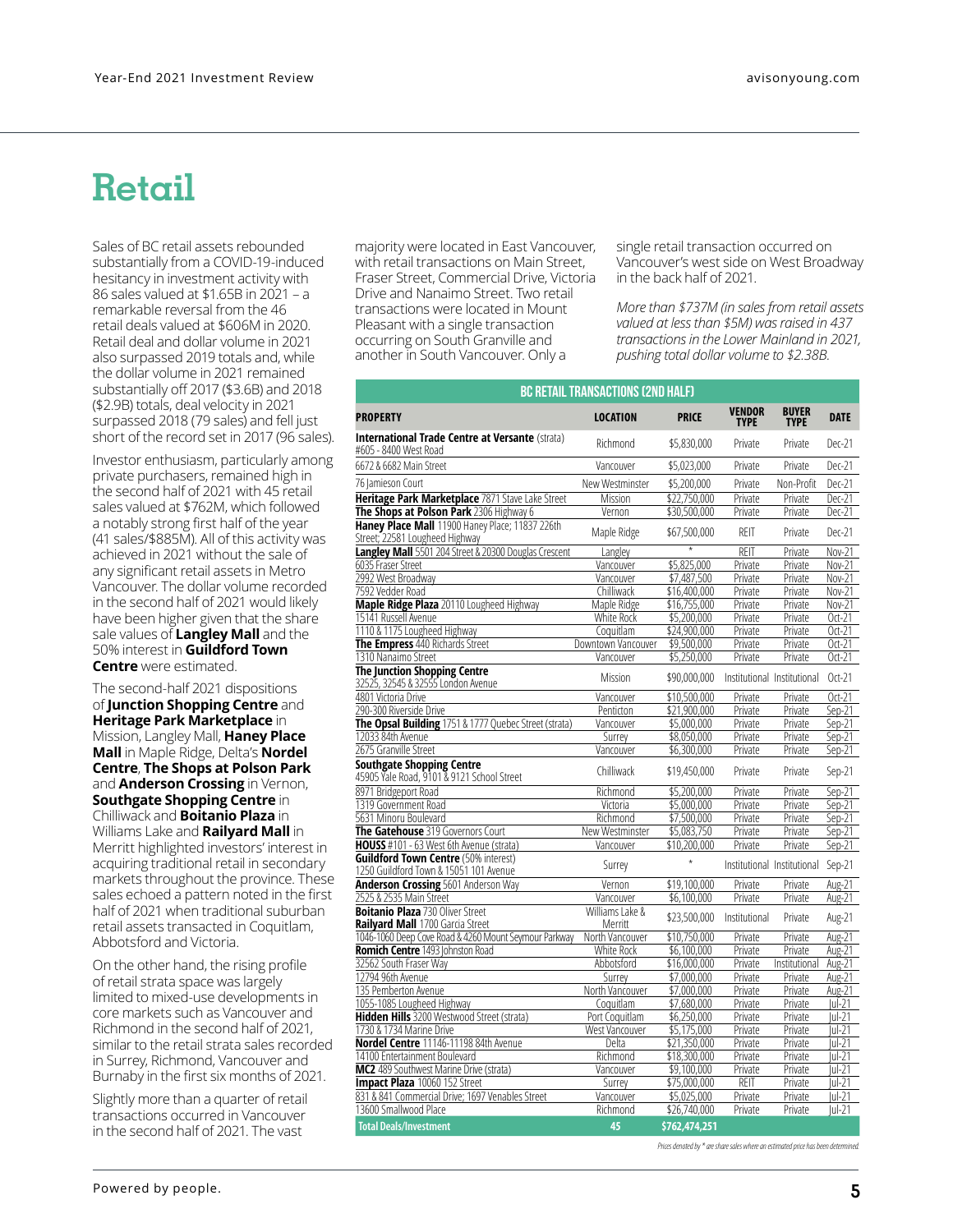### **Retail**

Sales of BC retail assets rebounded substantially from a COVID-19-induced hesitancy in investment activity with 86 sales valued at \$1.65B in 2021 – a remarkable reversal from the 46 retail deals valued at \$606M in 2020. Retail deal and dollar volume in 2021 also surpassed 2019 totals and, while the dollar volume in 2021 remained substantially off 2017 (\$3.6B) and 2018 (\$2.9B) totals, deal velocity in 2021 surpassed 2018 (79 sales) and fell just short of the record set in 2017 (96 sales).

Investor enthusiasm, particularly among private purchasers, remained high in the second half of 2021 with 45 retail sales valued at \$762M, which followed a notably strong first half of the year (41 sales/\$885M). All of this activity was achieved in 2021 without the sale of any significant retail assets in Metro Vancouver. The dollar volume recorded in the second half of 2021 would likely have been higher given that the share sale values of **Langley Mall** and the 50% interest in **Guildford Town Centre** were estimated.

The second-half 2021 dispositions of **Junction Shopping Centre** and **Heritage Park Marketplace** in Mission, Langley Mall, **Haney Place Mall** in Maple Ridge, Delta's **Nordel Centre**, **The Shops at Polson Park**  and **Anderson Crossing** in Vernon, **Southgate Shopping Centre** in Chilliwack and **Boitanio Plaza** in Williams Lake and **Railyard Mall** in Merritt highlighted investors' interest in acquiring traditional retail in secondary markets throughout the province. These sales echoed a pattern noted in the first half of 2021 when traditional suburban retail assets transacted in Coquitlam, Abbotsford and Victoria.

On the other hand, the rising profile of retail strata space was largely limited to mixed-use developments in core markets such as Vancouver and Richmond in the second half of 2021, similar to the retail strata sales recorded in Surrey, Richmond, Vancouver and Burnaby in the first six months of 2021.

Slightly more than a quarter of retail transactions occurred in Vancouver in the second half of 2021. The vast

majority were located in East Vancouver, with retail transactions on Main Street, Fraser Street, Commercial Drive, Victoria Drive and Nanaimo Street. Two retail transactions were located in Mount Pleasant with a single transaction occurring on South Granville and another in South Vancouver. Only a

single retail transaction occurred on Vancouver's west side on West Broadway in the back half of 2021.

*More than \$737M (in sales from retail assets valued at less than \$5M) was raised in 437 transactions in the Lower Mainland in 2021, pushing total dollar volume to \$2.38B.*

|                                                                                       | <b>BC RETAIL TRANSACTIONS (2ND HALF)</b> |                             |                              |                             |                    |
|---------------------------------------------------------------------------------------|------------------------------------------|-----------------------------|------------------------------|-----------------------------|--------------------|
| <b>PROPERTY</b>                                                                       | <b>LOCATION</b>                          | <b>PRICE</b>                | <b>VENDOR</b><br><b>TYPE</b> | <b>BUYER</b><br><b>TYPE</b> | <b>DATE</b>        |
| International Trade Centre at Versante (strata)<br>#605 - 8400 West Road              | Richmond                                 | \$5,830,000                 | Private                      | Private                     | Dec-21             |
| 6672 & 6682 Main Street                                                               | Vancouver                                | \$5,023,000                 | Private                      | Private                     | Dec-21             |
| 76 Jamieson Court                                                                     | New Westminster                          | \$5,200,000                 | Private                      | Non-Profit                  | Dec-21             |
| Heritage Park Marketplace 7871 Stave Lake Street                                      | Mission                                  | \$22,750,000                | Private                      | Private                     | Dec-21             |
| The Shops at Polson Park 2306 Highway 6                                               | Vernon                                   | \$30,500,000                | Private                      | Private                     | Dec-21             |
| Haney Place Mall 11900 Haney Place; 11837 226th<br>Street; 22581 Lougheed Highway     | Maple Ridge                              | \$67,500,000                | RFIT                         | Private                     | Dec-21             |
| <b>Langley Mall</b> 5501 204 Street & 20300 Douglas Crescent                          | Langley                                  |                             | REIT                         | Private                     | Nov-21             |
| 6035 Fraser Street                                                                    | Vancouver                                | \$5.825.000                 | Private                      | Private                     | Nov-21             |
| 2992 West Broadway                                                                    | Vancouver                                | \$7,487,500                 | Private                      | Private                     | Nov-21             |
| 7592 Vedder Road                                                                      | Chilliwack                               | \$16,400,000                | Private                      | Private                     | Nov-21             |
| Maple Ridge Plaza 20110 Lougheed Highway                                              | Maple Ridge                              | \$16,755,000                | Private                      | Private                     | Nov-21             |
| 15141 Russell Avenue                                                                  | White Rock                               | \$5,200,000                 | Private                      | Private                     | $Oct-21$           |
| 1110 & 1175 Lougheed Highway                                                          | Coquitlam                                | \$24,900,000                | Private                      | Private                     | $Oct-21$           |
| The Empress 440 Richards Street                                                       | Downtown Vancouver                       | \$9,500,000                 | Private                      | Private                     | $Oct-21$           |
| 1310 Nanaimo Street                                                                   | Vancouver                                | \$5,250,000                 | Private                      | Private                     | $Oct-21$           |
| <b>The Junction Shopping Centre</b><br>32525, 32545 & 32555 London Avenue             | Mission                                  | \$90,000,000                |                              | Institutional Institutional | $Oct-21$           |
| 4801 Victoria Drive                                                                   | Vancouver                                | \$10,500,000                | Private                      | Private                     | Oct-21             |
| 290-300 Riverside Drive                                                               | Penticton                                | \$21,900,000                | Private                      | Private                     | $Sep-21$           |
| The Opsal Building 1751 & 1777 Quebec Street (strata)                                 | Vancouver                                | \$5,000,000                 | Private                      | Private                     | $Sep-21$           |
| 12033 84th Avenue                                                                     | Surrev                                   | \$8,050,000                 | Private                      | Private                     | $Sep-21$           |
| 2675 Granville Street                                                                 | Vancouver                                | \$6,300,000                 | Private                      | Private                     | $Sep-21$           |
| Southgate Shopping Centre<br>45905 Yale Road, 9101 & 9121 School Street               | Chilliwack                               | \$19,450,000                | Private                      | Private                     | Sep-21             |
| 8971 Bridgeport Road                                                                  | Richmond                                 | \$5,200,000                 | Private                      | Private                     | Sep-21             |
| 1319 Government Road                                                                  | Victoria                                 | \$5,000,000                 | Private                      | Private                     | $Sen-21$           |
| 5631 Minoru Boulevard                                                                 | Richmond                                 | \$7,500,000                 | Private                      | Private                     | $Sen-21$           |
| The Gatehouse 319 Governors Court                                                     | New Westminster                          | \$5,083,750                 | Private                      | Private                     | $Sep-21$           |
| HOUSS #101 - 63 West 6th Avenue (strata)                                              | Vancouver                                | \$10,200,000                | Private                      | Private                     | $Sep-21$           |
| <b>Guildford Town Centre (50% interest)</b><br>1250 Guildford Town & 15051 101 Avenue | Surrey                                   | $\star$                     |                              | Institutional Institutional | Sep-21             |
| <b>Anderson Crossing 5601 Anderson Way</b>                                            | Vernon                                   | \$19,100.000                | Private                      | Private                     | Aug-21             |
| 2525 & 2535 Main Street                                                               | Vancouver                                | \$6,100,000                 | Private                      | Private                     | Aug-21             |
| <b>Boitanio Plaza 730 Oliver Street</b><br>Railyard Mall 1700 Garcia Street           | Williams Lake &<br>Merritt               | \$23,500,000                | Institutional                | Private                     | Aug-21             |
| 1046-1060 Deep Cove Road & 4260 Mount Seymour Parkway                                 | North Vancouver                          | \$10,750,000                | Private                      | Private                     | Aug-21             |
| Romich Centre 1493 Johnston Road                                                      | <b>White Rock</b>                        | \$6,100,000                 | Private                      | Private                     | Aug-21             |
| 32562 South Fraser Way                                                                | Abbotsford                               | \$16,000,000                | Private                      | Institutional               | Aug-21             |
| 12794 96th Avenue                                                                     | Surrey                                   | \$7,000,000                 | Private                      | Private                     | Aug-21             |
| 135 Pemberton Avenue                                                                  | North Vancouver                          | \$7,000,000                 | Private                      | Private                     | Aug-21             |
| 1055-1085 Lougheed Highway                                                            | Coquitlam                                | \$7,680,000                 | Private                      | Private                     | $ ul-21$           |
| Hidden Hills 3200 Westwood Street (strata)                                            | Port Coguitlam                           | \$6,250,000                 | Private                      | Private                     | $ ul-21$           |
| 1730 & 1734 Marine Drive                                                              | West Vancouver                           | \$5,175,000                 | Private                      | Private                     | $ ul-21$           |
| Nordel Centre 11146-11198 84th Avenue                                                 | Delta                                    | \$21,350,000                | Private                      | Private                     | $ ul-21$           |
| 14100 Entertainment Boulevard<br>MC2 489 Southwest Marine Drive (strata)              | Richmond<br>Vancouver                    | \$18,300,000                | Private<br>Private           | Private<br>Private          | lul-21<br>$ u -21$ |
|                                                                                       |                                          | \$9,100,000                 | REIT                         |                             | $ ul-21$           |
| Impact Plaza 10060 152 Street<br>831 & 841 Commercial Drive; 1697 Venables Street     | Surrey<br>Vancouver                      | \$75,000,000<br>\$5,025,000 | Private                      | Private<br>Private          | $ ul-21$           |
| 13600 Smallwood Place                                                                 | Richmond                                 |                             | Private                      | Private                     | $ ul-21$           |
|                                                                                       |                                          | \$26,740,000                |                              |                             |                    |
| <b>Total Deals/Investment</b>                                                         | 45                                       | \$762,474,251               |                              |                             |                    |

*Prices denoted by \* are share sales where an estimated price has been determined.*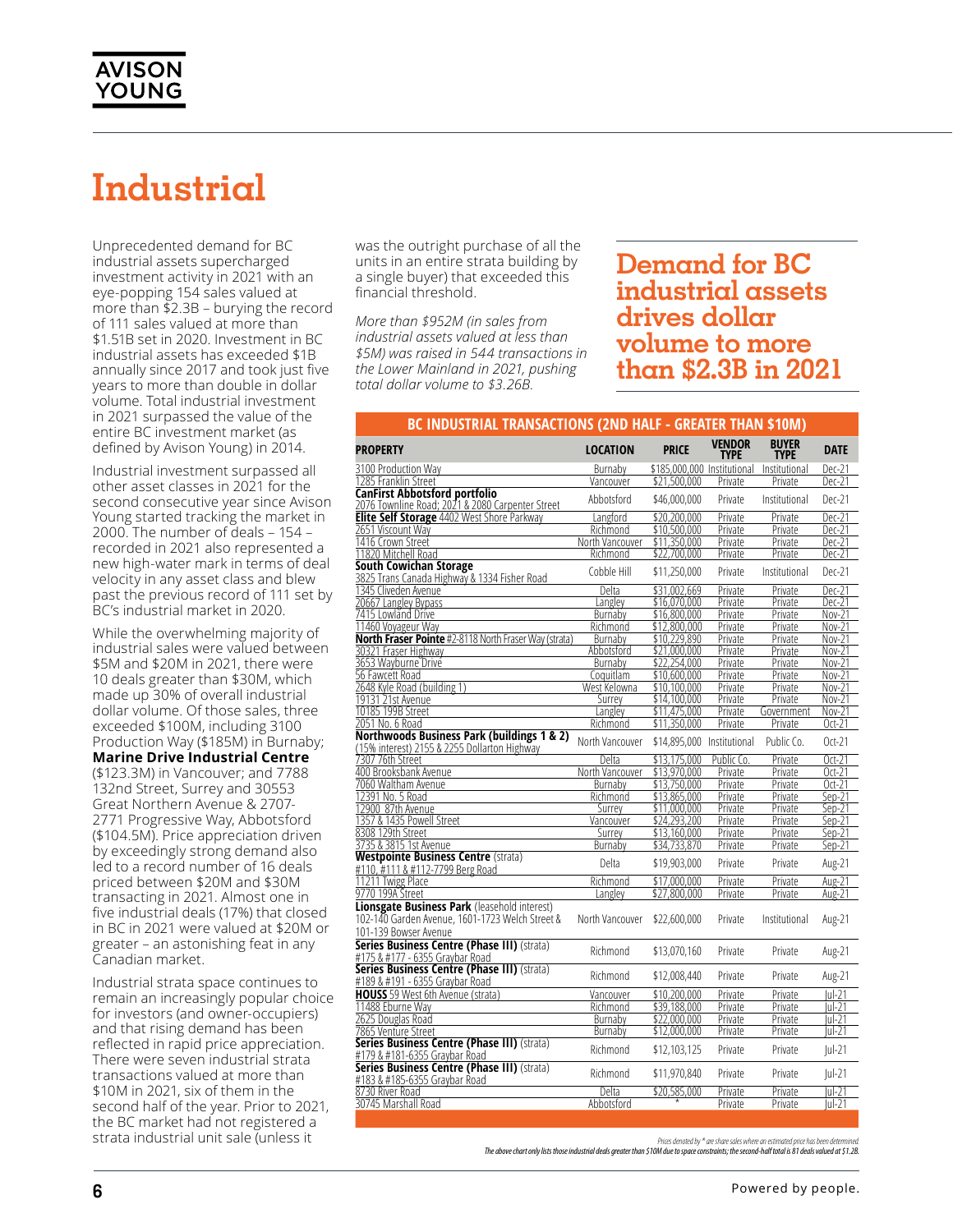## **Industrial**

Unprecedented demand for BC industrial assets supercharged investment activity in 2021 with an eye-popping 154 sales valued at more than \$2.3B – burying the record of 111 sales valued at more than \$1.51B set in 2020. Investment in BC industrial assets has exceeded \$1B annually since 2017 and took just five years to more than double in dollar volume. Total industrial investment in 2021 surpassed the value of the entire BC investment market (as defined by Avison Young) in 2014.

Industrial investment surpassed all other asset classes in 2021 for the second consecutive year since Avison Young started tracking the market in 2000. The number of deals – 154 – recorded in 2021 also represented a new high-water mark in terms of deal velocity in any asset class and blew past the previous record of 111 set by BC's industrial market in 2020.

While the overwhelming majority of industrial sales were valued between \$5M and \$20M in 2021, there were 10 deals greater than \$30M, which made up 30% of overall industrial dollar volume. Of those sales, three exceeded \$100M, including 3100 Production Way (\$185M) in Burnaby;

**Marine Drive Industrial Centre** (\$123.3M) in Vancouver; and 7788 132nd Street, Surrey and 30553 Great Northern Avenue & 2707- 2771 Progressive Way, Abbotsford (\$104.5M). Price appreciation driven by exceedingly strong demand also led to a record number of 16 deals priced between \$20M and \$30M transacting in 2021. Almost one in five industrial deals (17%) that closed in BC in 2021 were valued at \$20M or greater – an astonishing feat in any Canadian market.

Industrial strata space continues to remain an increasingly popular choice for investors (and owner-occupiers) and that rising demand has been reflected in rapid price appreciation. There were seven industrial strata transactions valued at more than \$10M in 2021, six of them in the second half of the year. Prior to 2021, the BC market had not registered a strata industrial unit sale (unless it

was the outright purchase of all the units in an entire strata building by a single buyer) that exceeded this financial threshold.

*More than \$952M (in sales from industrial assets valued at less than \$5M) was raised in 544 transactions in the Lower Mainland in 2021, pushing total dollar volume to \$3.26B.*

### **Demand for BC industrial assets drives dollar volume to more than \$2.3B in 2021**

#### **BC INDUSTRIAL TRANSACTIONS (2ND HALF - GREATER THAN \$10M)**

| <b>PROPERTY</b>                                                                                                                 | <b>LOCATION</b> | <b>PRICE</b>                              | <b>VENDOR</b><br>TYPE | <b>BUYER</b><br><b>TYPE</b> | <b>DATE</b> |
|---------------------------------------------------------------------------------------------------------------------------------|-----------------|-------------------------------------------|-----------------------|-----------------------------|-------------|
| 3100 Production Way                                                                                                             | Burnaby         | \$185,000,000 Institutional Institutional |                       |                             | Dec-21      |
| 1285 Franklin Street                                                                                                            | Vancouver       | \$21,500,000                              | Private               | Private                     | Dec-21      |
| <b>CanFirst Abbotsford portfolio</b><br>2076 Townline Road; 2021 & 2080 Carpenter Street                                        | Abbotsford      | \$46,000,000                              | Private               | Institutional               | Dec-21      |
| <b>Elite Self Storage 4402 West Shore Parkway</b>                                                                               | Langford        | \$20.200.000                              | Private               | Private                     | Dec-21      |
| 2651 Viscount Way                                                                                                               | Richmond        | \$10,500,000                              | Private               | Private                     | Dec-21      |
| 1416 Crown Street                                                                                                               | North Vancouver | \$11,350,000                              | Private               | Private                     | Dec-21      |
| 11820 Mitchell Road                                                                                                             | Richmond        | \$22,700,000                              | Private               | Private                     | Dec-21      |
| South Cowichan Storage<br>3825 Trans Canada Highway & 1334 Fisher Road                                                          | Cobble Hill     | \$11,250,000                              | Private               | Institutional               | Dec-21      |
| 1345 Cliveden Avenue                                                                                                            | Delta           | \$31.002.669                              | Private               | Private                     | Dec-21      |
| 20667 Langley Bypass                                                                                                            | Langley         | \$16.070.000                              | Private               | Private                     | Dec-21      |
| 7415 Lowland Drive                                                                                                              | Burnaby         | \$16,800,000                              | Private               | Private                     | Nov-21      |
| 11460 Voyageur Way                                                                                                              | Richmond        | \$12,800,000                              | Private               | Private                     | Nov-21      |
| North Fraser Pointe #2-8118 North Fraser Way (strata)                                                                           | Burnaby         | \$10.229.890                              | Private               | Private                     | Nov-21      |
| 30321 Fraser Highway                                                                                                            | Abbotsford      | \$21,000,000                              | Private               | Private                     | Nov-21      |
| 3653 Wayburne Drive                                                                                                             | Burnaby         | \$22,254,000                              | Private               | Private                     | Nov-21      |
| 56 Fawcett Road                                                                                                                 | Coquitlam       | \$10,600,000                              | Private               | Private                     | Nov-21      |
| 2648 Kyle Road (building 1)                                                                                                     | West Kelowna    | \$10.100.000                              | Private               | Private                     | Nov-21      |
| 19131 21st Avenue                                                                                                               | Surrey          | \$14,100,000                              | Private               | Private                     | Nov-21      |
| 10185 199B Street                                                                                                               | Langléy         | \$11,475,000                              | Private               | Government                  | Nov-21      |
| 2051 No. 6 Road                                                                                                                 | Richmond        | \$11,350,000                              | Private               | Private                     | $Oct-21$    |
| Northwoods Business Park (buildings 1 & 2)<br>(15% interest) 2155 & 2255 Dollarton Highway                                      | North Vancouver | \$14,895,000 Institutional                |                       | Public Co.                  | $Oct-21$    |
| 7307 76th Street                                                                                                                | Delta           | \$13.175.000                              | Public Co             | Private                     | $Oct-21$    |
| 400 Brooksbank Avenue                                                                                                           | North Vancouver | \$13,970,000                              | Private               | Private                     | $Oct-21$    |
| 7060 Waltham Avenue                                                                                                             | Burnaby         | \$13,750,000                              | Private               | Private                     | $Oct-21$    |
| 12391 No. 5 Road                                                                                                                | Richmond        | \$13,865,000                              | Private               | Private                     | Sep-21      |
| 12900 87th Avenue                                                                                                               | Surrey          | \$11,000,000                              | Private               | Private                     | Sep-21      |
| 1357 & 1435 Powell Street                                                                                                       | Vancouver       | \$24,293,200                              | Private               | Private                     | Sep-21      |
| 8308 129th Street                                                                                                               | Surrev          | \$13,160,000                              | Private               | Private                     | Sep-21      |
| 3735 & 3815 1st Avenue                                                                                                          | Burnaby         | \$34,733,870                              | Private               | Private                     | Sep-21      |
| <b>Westpointe Business Centre (strata)</b><br>#110. #111 & #112-7799 Berg Road                                                  | Delta           | \$19,903,000                              | Private               | Private                     | Aug-21      |
| 11211 Twigg Place                                                                                                               | Richmond        | \$17,000,000                              | Private               | Private                     | Aug-21      |
| 9770 199A Street                                                                                                                | Langley         | \$27,800,000                              | Private               | Private                     | Aug-21      |
| <b>Lionsgate Business Park (leasehold interest)</b><br>102-140 Garden Avenue. 1601-1723 Welch Street &<br>101-139 Bowser Avenue | North Vancouver | \$22,600,000                              | Private               | Institutional               | Aug-21      |
| Series Business Centre (Phase III) (strata)<br>#175 & #177 - 6355 Graybar Road                                                  | Richmond        | \$13,070,160                              | Private               | Private                     | Aug-21      |
| Series Business Centre (Phase III) (strata)<br>#189 & #191 - 6355 Graybar Road                                                  | Richmond        | \$12,008,440                              | Private               | Private                     | Aug-21      |
| <b>HOUSS</b> 59 West 6th Avenue (strata)                                                                                        | Vancouver       | \$10,200,000                              | Private               | Private                     | lul-21      |
| 11488 Eburne Way                                                                                                                | Richmond        | \$39,188,000                              | Private               | Private                     | $ u -21$    |
| 2625 Douglas Road                                                                                                               | Burnaby         | \$22.000.000                              | Private               | Private                     | lul-21      |
| 7865 Venture Street                                                                                                             | Burnaby         | \$12,000,000                              | Private               | Private                     | İul-21      |
| Series Business Centre (Phase III) (strata)<br>#179 & #181-6355 Graybar Road                                                    | Richmond        | \$12,103,125                              | Private               | Private                     | $ ul-21$    |
| Series Business Centre (Phase III) (strata)<br>#183 & #185-6355 Graybar Road                                                    | Richmond        | \$11,970,840                              | Private               | Private                     | $ ul-21$    |
| 8730 River Road                                                                                                                 | Delta           | \$20,585,000                              | Private               | Private                     | $ ul-21$    |
| 30745 Marshall Road                                                                                                             | Abbotsford      |                                           | Private               | Private                     | $ ul-21$    |
|                                                                                                                                 |                 |                                           |                       |                             |             |

Prices denoted by \* are share sales where an estimated price has been dete

*The above chart only lists those industrial deals greater than \$10M due to space constraints; the second-half total is 81 deals valued at \$1.2B.*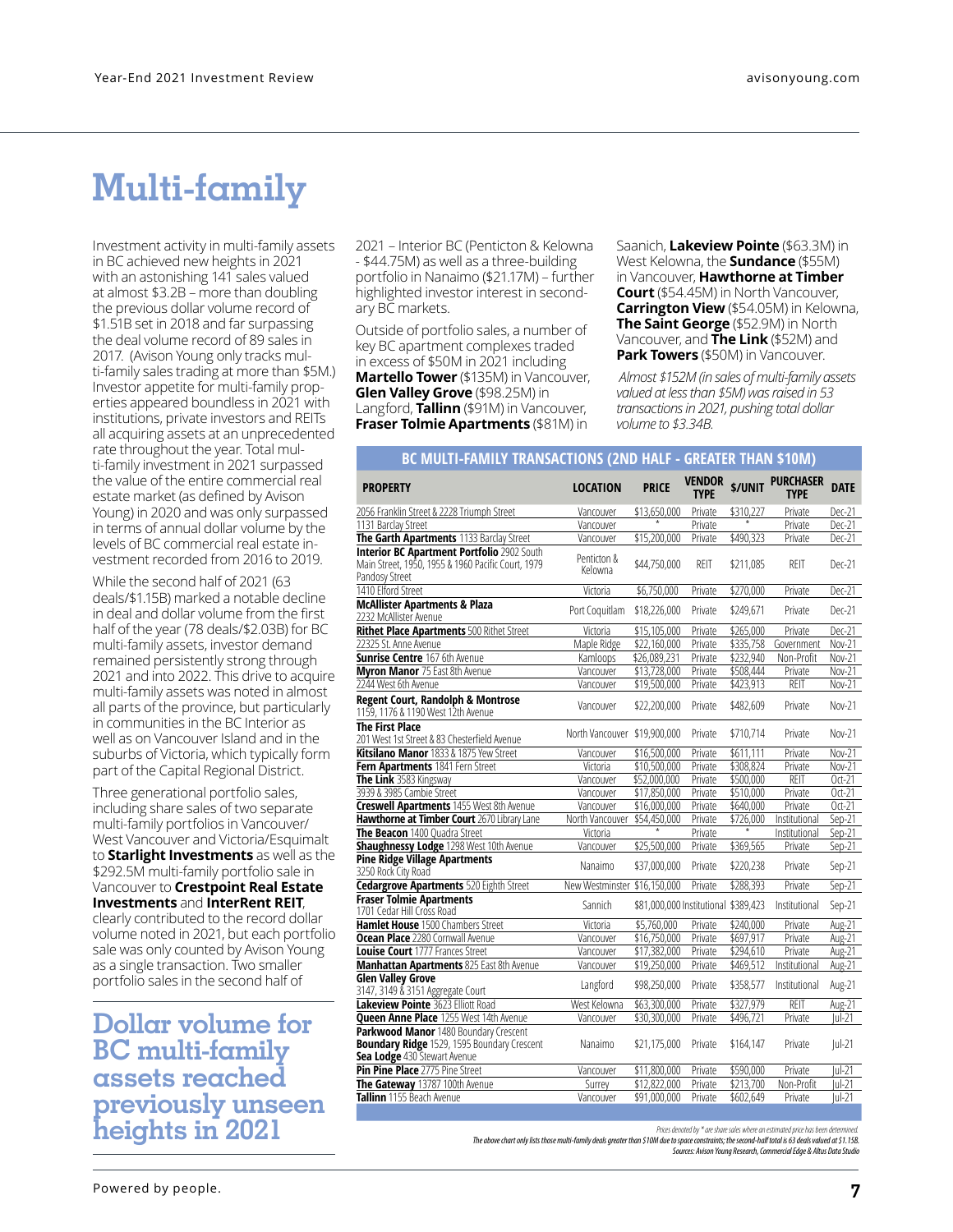### **Multi-family**

Investment activity in multi-family assets in BC achieved new heights in 2021 with an astonishing 141 sales valued at almost \$3.2B – more than doubling the previous dollar volume record of \$1.51B set in 2018 and far surpassing the deal volume record of 89 sales in 2017. (Avison Young only tracks multi-family sales trading at more than \$5M.) Investor appetite for multi-family properties appeared boundless in 2021 with institutions, private investors and REITs all acquiring assets at an unprecedented rate throughout the year. Total multi-family investment in 2021 surpassed the value of the entire commercial real estate market (as defined by Avison Young) in 2020 and was only surpassed in terms of annual dollar volume by the levels of BC commercial real estate investment recorded from 2016 to 2019.

While the second half of 2021 (63 deals/\$1.15B) marked a notable decline in deal and dollar volume from the first half of the year (78 deals/\$2.03B) for BC multi-family assets, investor demand remained persistently strong through 2021 and into 2022. This drive to acquire multi-family assets was noted in almost all parts of the province, but particularly in communities in the BC Interior as well as on Vancouver Island and in the suburbs of Victoria, which typically form part of the Capital Regional District.

Three generational portfolio sales, including share sales of two separate multi-family portfolios in Vancouver/ West Vancouver and Victoria/Esquimalt to **Starlight Investments** as well as the \$292.5M multi-family portfolio sale in Vancouver to **Crestpoint Real Estate Investments** and **InterRent REIT**, clearly contributed to the record dollar volume noted in 2021, but each portfolio sale was only counted by Avison Young as a single transaction. Two smaller portfolio sales in the second half of

**Dollar volume for BC multi-family assets reached previously unseen heights in 2021**

Outside of portfolio sales, a number of key BC apartment complexes traded in excess of \$50M in 2021 including **Martello Tower** (\$135M) in Vancouver, **Glen Valley Grove** (\$98.25M) in Langford, **Tallinn** (\$91M) in Vancouver,

ary BC markets.

2021 – Interior BC (Penticton & Kelowna - \$44.75M) as well as a three-building portfolio in Nanaimo (\$21.17M) – further highlighted investor interest in second-

**Fraser Tolmie Apartments** (\$81M) in

Saanich, **Lakeview Pointe** (\$63.3M) in West Kelowna, the **Sundance** (\$55M) in Vancouver, **Hawthorne at Timber Court** (\$54.45M) in North Vancouver, **Carrington View** (\$54.05M) in Kelowna, **The Saint George** (\$52.9M) in North Vancouver, and **The Link** (\$52M) and **Park Towers** (\$50M) in Vancouver.

*Almost \$152M (in sales of multi-family assets valued at less than \$5M) was raised in 53 transactions in 2021, pushing total dollar volume to \$3.34B.*

### **BC MULTI-FAMILY TRANSACTIONS (2ND HALF - GREATER THAN \$10M)**

| <b>PROPERTY</b>                                                                                                             | <b>LOCATION</b>              | <b>PRICE</b>                         | <b>VENDOR</b><br><b>TYPE</b> | \$/UNIT   | <b>PURCHASER</b><br><b>TYPE</b> | <b>DATE</b>         |
|-----------------------------------------------------------------------------------------------------------------------------|------------------------------|--------------------------------------|------------------------------|-----------|---------------------------------|---------------------|
| 2056 Franklin Street & 2228 Triumph Street                                                                                  | Vancouver                    | \$13,650,000                         | Private                      | \$310,227 | Private                         | Dec-21              |
| 1131 Barclay Street                                                                                                         | Vancouver                    |                                      | Private                      |           | Private                         | Dec-21              |
| The Garth Apartments 1133 Barclay Street                                                                                    | Vancouver                    | \$15,200,000                         | Private                      | \$490,323 | Private                         | Dec-21              |
| <b>Interior BC Apartment Portfolio 2902 South</b><br>Main Street, 1950, 1955 & 1960 Pacific Court, 1979<br>Pandosy Street   | Penticton &<br>Kelowna       | \$44,750,000                         | REIT                         | \$211,085 | <b>REIT</b>                     | Dec-21              |
| 1410 Elford Street                                                                                                          | Victoria                     | \$6,750,000                          | Private                      | \$270,000 | Private                         | Dec-21              |
| <b>McAllister Apartments &amp; Plaza</b><br>2232 McAllister Avenue                                                          | Port Coquitlam               | \$18,226,000                         | Private                      | \$249,671 | Private                         | Dec-21              |
| <b>Rithet Place Apartments 500 Rithet Street</b>                                                                            | Victoria                     | \$15,105,000                         | Private                      | \$265,000 | Private                         | Dec-21              |
| 22325 St. Anne Avenue                                                                                                       | Maple Ridge                  | \$22,160,000                         | Private                      | \$335,758 | Government                      | Nov-21              |
| <b>Sunrise Centre 167 6th Avenue</b>                                                                                        | Kamloops                     | \$26,089,231                         | Private                      | \$232,940 | Non-Profit                      | Nov-21              |
| <b>Myron Manor 75 East 8th Avenue</b>                                                                                       | Vancouver                    | \$13,728,000                         | Private                      | \$508,444 | Private                         | Nov-21              |
| 2244 West 6th Avenue                                                                                                        | Vancouver                    | \$19,500,000                         | Private                      | \$423,913 | <b>REIT</b>                     | Nov-21              |
| Regent Court, Randolph & Montrose<br>1159, 1176 & 1190 West 12th Avenue                                                     | Vancouver                    | \$22,200,000                         | Private                      | \$482,609 | Private                         | Nov-21              |
| <b>The First Place</b><br>201 West 1st Street & 83 Chesterfield Avenue                                                      | North Vancouver \$19,900,000 |                                      | Private                      | \$710,714 | Private                         | Nov-21              |
| Kitsilano Manor 1833 & 1875 Yew Street                                                                                      | Vancouver                    | \$16,500,000                         | Private                      | \$611.111 | Private                         | Nov-21              |
| Fern Apartments 1841 Fern Street                                                                                            | Victoria                     | \$10,500,000                         | Private                      | \$308.824 | Private                         | Nov-21              |
| The Link 3583 Kingsway                                                                                                      | Vancouver                    | \$52,000,000                         | Private                      | \$500,000 | REIT                            | $Oct-21$            |
| 3939 & 3985 Cambie Street                                                                                                   | Vancouver                    | \$17,850,000                         | Private                      | \$510.000 | Private                         | $Oct-21$            |
| <b>Creswell Apartments</b> 1455 West 8th Avenue                                                                             | Vancouver                    | \$16,000,000                         | Private                      | \$640,000 | Private                         | $Oct-21$            |
| Hawthorne at Timber Court 2670 Library Lane                                                                                 | North Vancouver              | \$54,450,000                         | Private                      | \$726,000 | Institutional                   | $Sen-21$            |
| The Beacon 1400 Quadra Street                                                                                               | Victoria                     |                                      | Private                      | $\ast$    | Institutional                   | Sep-21              |
| Shaughnessy Lodge 1298 West 10th Avenue                                                                                     | Vancouver                    | \$25,500,000                         | Private                      | \$369,565 | Private                         | $Sep-21$            |
| <b>Pine Ridge Village Apartments</b><br>3250 Rock City Road                                                                 | Nanaimo                      | \$37,000,000                         | Private                      | \$220,238 | Private                         | Sep-21              |
| <b>Cedargrove Apartments 520 Eighth Street</b>                                                                              | New Westminster \$16,150,000 |                                      | Private                      | \$288,393 | Private                         | $Sep-21$            |
| <b>Fraser Tolmie Apartments</b><br>1701 Cedar Hill Cross Road                                                               | Sannich                      | \$81,000,000 Institutional \$389,423 |                              |           | Institutional                   | Sep-21              |
| Hamlet House 1500 Chambers Street                                                                                           | Victoria                     | \$5,760,000                          | Private                      | \$240,000 | Private                         | Aug-21              |
| Ocean Place 2280 Cornwall Avenue                                                                                            | Vancouver                    | \$16,750,000                         | Private                      | \$697,917 | Private                         | $Aug-21$            |
| Louise Court 1777 Frances Street                                                                                            | Vancouver                    | \$17,382,000                         | Private                      | \$294.610 | Private                         | Aug-21              |
| <b>Manhattan Apartments 825 East 8th Avenue</b>                                                                             | Vancouver                    | \$19,250,000                         | Private                      | \$469,512 | <b>Institutional</b>            | $\overline{Aug-21}$ |
| <b>Glen Valley Grove</b><br>3147, 3149 & 3151 Aggregate Court                                                               | Langford                     | \$98,250,000                         | Private                      | \$358,577 | Institutional                   | Aug-21              |
| <b>Lakeview Pointe 3623 Elliott Road</b>                                                                                    | West Kelowna                 | \$63,300,000                         | Private                      | \$327,979 | REIT                            | Aug-21              |
| <b>Queen Anne Place</b> 1255 West 14th Avenue                                                                               | Vancouver                    | \$30,300,000                         | Private                      | \$496,721 | Private                         | $Iul-21$            |
| Parkwood Manor 1480 Boundary Crescent<br><b>Boundary Ridge</b> 1529, 1595 Boundary Crescent<br>Sea Lodge 430 Stewart Avenue | Nanaimo                      | \$21,175,000                         | Private                      | \$164,147 | Private                         | $ ul-21$            |
| Pin Pine Place 2775 Pine Street                                                                                             | Vancouver                    | \$11,800,000                         | Private                      | \$590,000 | Private                         | $ u -21$            |
| The Gateway 13787 100th Avenue                                                                                              | Surrey                       | \$12,822,000                         | Private                      | \$213,700 | Non-Profit                      | lul-21              |
| Tallinn 1155 Beach Avenue                                                                                                   | Vancouver                    | \$91,000,000                         | Private                      | \$602,649 | Private                         | $ ul-21$            |

Prices denoted by \* are share sales where an estimated price has been de.

 *Sources: Avison Young Research, Commercial Edge & Altus Data Studio The above chart only lists those multi-family deals greater than \$10M due to space constraints; the second-half total is 63 deals valued at \$1.15B.*